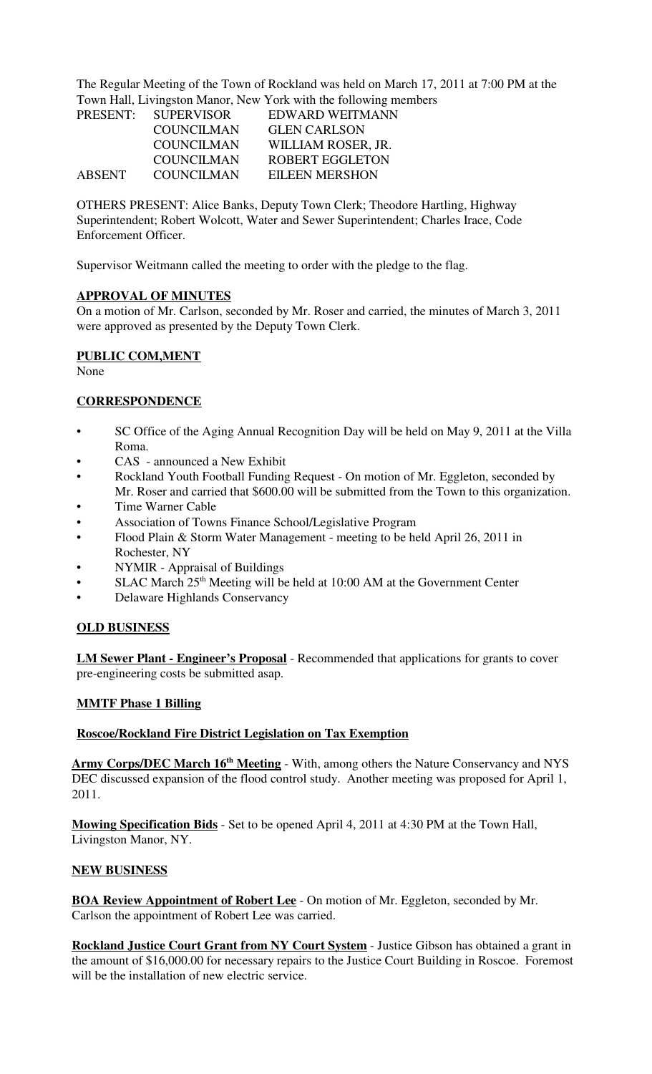The Regular Meeting of the Town of Rockland was held on March 17, 2011 at 7:00 PM at the Town Hall, Livingston Manor, New York with the following members

| 10.01111001 |                     |                        |  |  |
|-------------|---------------------|------------------------|--|--|
|             | PRESENT: SUPERVISOR | EDWARD WEITMANN        |  |  |
|             | <b>COUNCILMAN</b>   | <b>GLEN CARLSON</b>    |  |  |
|             | <b>COUNCILMAN</b>   | WILLIAM ROSER, JR.     |  |  |
|             | <b>COUNCILMAN</b>   | <b>ROBERT EGGLETON</b> |  |  |
| ABSENT      | <b>COUNCILMAN</b>   | EILEEN MERSHON         |  |  |

OTHERS PRESENT: Alice Banks, Deputy Town Clerk; Theodore Hartling, Highway Superintendent; Robert Wolcott, Water and Sewer Superintendent; Charles Irace, Code Enforcement Officer.

Supervisor Weitmann called the meeting to order with the pledge to the flag.

#### **APPROVAL OF MINUTES**

On a motion of Mr. Carlson, seconded by Mr. Roser and carried, the minutes of March 3, 2011 were approved as presented by the Deputy Town Clerk.

## **PUBLIC COM,MENT**

None

### **CORRESPONDENCE**

- SC Office of the Aging Annual Recognition Day will be held on May 9, 2011 at the Villa Roma.
- CAS announced a New Exhibit
- Rockland Youth Football Funding Request On motion of Mr. Eggleton, seconded by
- Mr. Roser and carried that \$600.00 will be submitted from the Town to this organization.
- Time Warner Cable
- Association of Towns Finance School/Legislative Program
- Flood Plain & Storm Water Management meeting to be held April 26, 2011 in Rochester, NY
- NYMIR Appraisal of Buildings
- SLAC March  $25<sup>th</sup>$  Meeting will be held at 10:00 AM at the Government Center
- Delaware Highlands Conservancy

## **OLD BUSINESS**

**LM Sewer Plant - Engineer's Proposal** - Recommended that applications for grants to cover pre-engineering costs be submitted asap.

## **MMTF Phase 1 Billing**

#### **Roscoe/Rockland Fire District Legislation on Tax Exemption**

Army Corps/DEC March 16<sup>th</sup> Meeting - With, among others the Nature Conservancy and NYS DEC discussed expansion of the flood control study. Another meeting was proposed for April 1, 2011.

**Mowing Specification Bids** - Set to be opened April 4, 2011 at 4:30 PM at the Town Hall, Livingston Manor, NY.

#### **NEW BUSINESS**

**BOA Review Appointment of Robert Lee** - On motion of Mr. Eggleton, seconded by Mr. Carlson the appointment of Robert Lee was carried.

**Rockland Justice Court Grant from NY Court System** - Justice Gibson has obtained a grant in the amount of \$16,000.00 for necessary repairs to the Justice Court Building in Roscoe. Foremost will be the installation of new electric service.